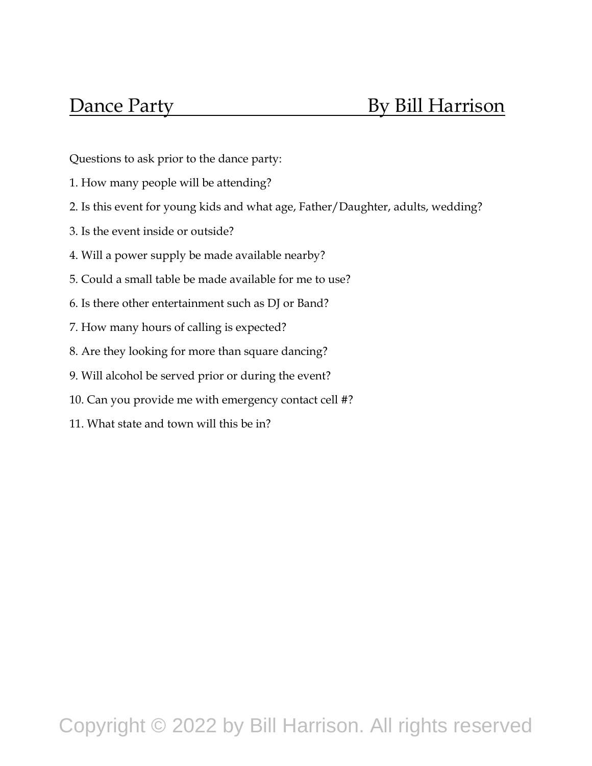Questions to ask prior to the dance party:

- 1. How many people will be attending?
- 2. Is this event for young kids and what age, Father/Daughter, adults, wedding?
- 3. Is the event inside or outside?
- 4. Will a power supply be made available nearby?
- 5. Could a small table be made available for me to use?
- 6. Is there other entertainment such as DJ or Band?
- 7. How many hours of calling is expected?
- 8. Are they looking for more than square dancing?
- 9. Will alcohol be served prior or during the event?
- 10. Can you provide me with emergency contact cell #?
- 11. What state and town will this be in?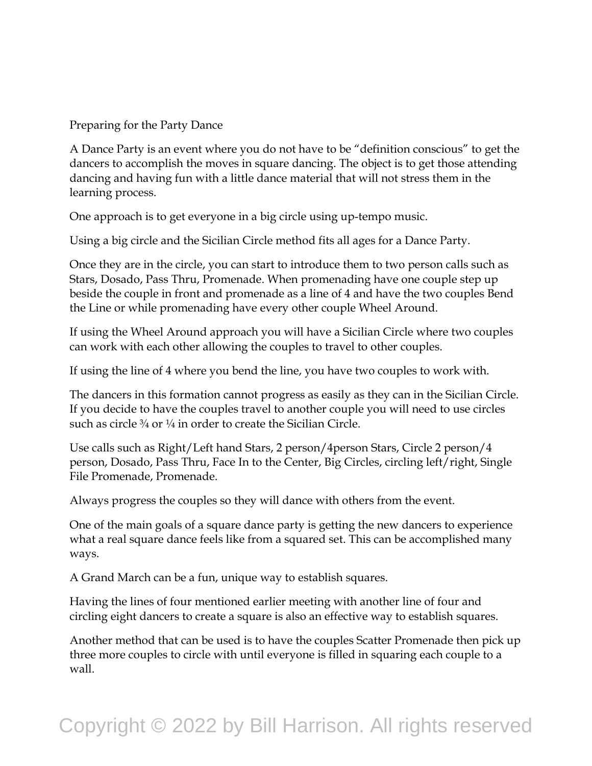Preparing for the Party Dance

A Dance Party is an event where you do not have to be "definition conscious" to get the dancers to accomplish the moves in square dancing. The object is to get those attending dancing and having fun with a little dance material that will not stress them in the learning process.

One approach is to get everyone in a big circle using up-tempo music.

Using a big circle and the Sicilian Circle method fits all ages for a Dance Party.

Once they are in the circle, you can start to introduce them to two person calls such as Stars, Dosado, Pass Thru, Promenade. When promenading have one couple step up beside the couple in front and promenade as a line of 4 and have the two couples Bend the Line or while promenading have every other couple Wheel Around.

If using the Wheel Around approach you will have a Sicilian Circle where two couples can work with each other allowing the couples to travel to other couples.

If using the line of 4 where you bend the line, you have two couples to work with.

The dancers in this formation cannot progress as easily as they can in the Sicilian Circle. If you decide to have the couples travel to another couple you will need to use circles such as circle  $\frac{3}{4}$  or  $\frac{1}{4}$  in order to create the Sicilian Circle.

Use calls such as Right/Left hand Stars, 2 person/4person Stars, Circle 2 person/4 person, Dosado, Pass Thru, Face In to the Center, Big Circles, circling left/right, Single File Promenade, Promenade.

Always progress the couples so they will dance with others from the event.

One of the main goals of a square dance party is getting the new dancers to experience what a real square dance feels like from a squared set. This can be accomplished many ways.

A Grand March can be a fun, unique way to establish squares.

Having the lines of four mentioned earlier meeting with another line of four and circling eight dancers to create a square is also an effective way to establish squares.

Another method that can be used is to have the couples Scatter Promenade then pick up three more couples to circle with until everyone is filled in squaring each couple to a wall.